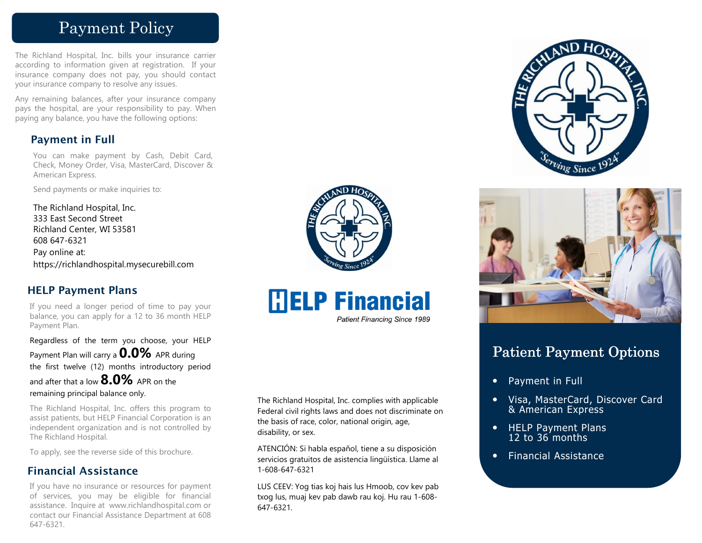# Payment Policy

The Richland Hospital, Inc. bills your insurance carrier according to information given at registration. If your insurance company does not pay, you should contact your insurance company to resolve any issues.

Any remaining balances, after your insurance company pays the hospital, are your responsibility to pay. When paying any balance, you have the following options:

## **Payment in Full**

You can make payment by Cash, Debit Card, Check, Money Order, Visa, MasterCard, Discover & American Express.

Send payments or make inquiries to:

The Richland Hospital, Inc. 333 East Second Street Richland Center, WI 53581 608 647-6321 Pay online at: https://richlandhospital.mysecurebill.com

## **HELP Payment Plans**

If you need a longer period of time to pay your balance, you can apply for a 12 to 36 month HELP Payment Plan.

Regardless of the term you choose, your HELP Payment Plan will carry a **0.0%** APR during the first twelve (12) months introductory period and after that a low **8.0%** APR on the remaining principal balance only.

The Richland Hospital, Inc. offers this program to assist patients, but HELP Financial Corporation is an independent organization and is not controlled by The Richland Hospital.

To apply, see the reverse side of this brochure.

## **Financial Assistance**

If you have no insurance or resources for payment of services, you may be eligible for financial assistance. Inquire at www.richlandhospital.com or contact our Financial Assistance Department at 608 647-6321.





**Patient Financing Since 1989** 

The Richland Hospital, Inc. complies with applicable Federal civil rights laws and does not discriminate on the basis of race, color, national origin, age, disability, or sex.

ATENCIÓN: Si habla español, tiene a su disposición servicios gratuitos de asistencia lingüística. Llame al 1-608-647-6321

LUS CEEV: Yog tias koj hais lus Hmoob, cov kev pab txog lus, muaj kev pab dawb rau koj. Hu rau 1-608-647-6321.





# Patient Payment Options

- Payment in Full
- Visa, MasterCard, Discover Card & American Express
- HELP Payment Plans 12 to 36 months
- Financial Assistance